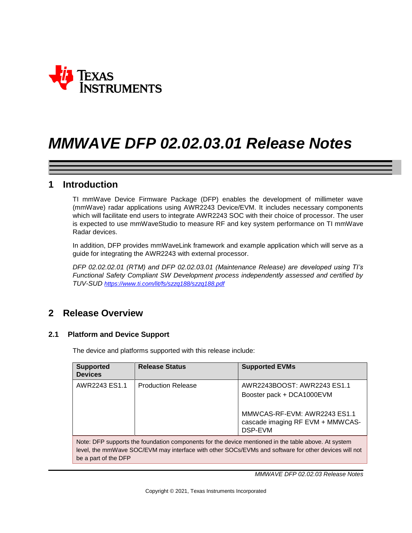

### **1 Introduction**

TI mmWave Device Firmware Package (DFP) enables the development of millimeter wave (mmWave) radar applications using AWR2243 Device/EVM. It includes necessary components which will facilitate end users to integrate AWR2243 SOC with their choice of processor. The user is expected to use mmWaveStudio to measure RF and key system performance on TI mmWave Radar devices.

In addition, DFP provides mmWaveLink framework and example application which will serve as a guide for integrating the AWR2243 with external processor.

*DFP 02.02.02.01 (RTM) and DFP 02.02.03.01 (Maintenance Release) are developed using TI's Functional Safety Compliant SW Development process independently assessed and certified by TUV-SUD <https://www.ti.com/lit/fs/szzq188/szzq188.pdf>*

### **2 Release Overview**

### **2.1 Platform and Device Support**

The device and platforms supported with this release include:

| <b>Supported</b><br><b>Devices</b>                                                                                                                                                                                                  | <b>Release Status</b>     | <b>Supported EVMs</b>                                                                                                                   |
|-------------------------------------------------------------------------------------------------------------------------------------------------------------------------------------------------------------------------------------|---------------------------|-----------------------------------------------------------------------------------------------------------------------------------------|
| AWR2243 ES1.1                                                                                                                                                                                                                       | <b>Production Release</b> | AWR2243BOOST: AWR2243 ES1.1<br>Booster pack + DCA1000EVM<br>MMWCAS-RF-EVM: AWR2243 ES1.1<br>cascade imaging RF EVM + MMWCAS-<br>DSP-EVM |
| Note: DFP supports the foundation components for the device mentioned in the table above. At system<br>level, the mmWave SOC/EVM may interface with other SOCs/EVMs and software for other devices will not<br>be a part of the DFP |                           |                                                                                                                                         |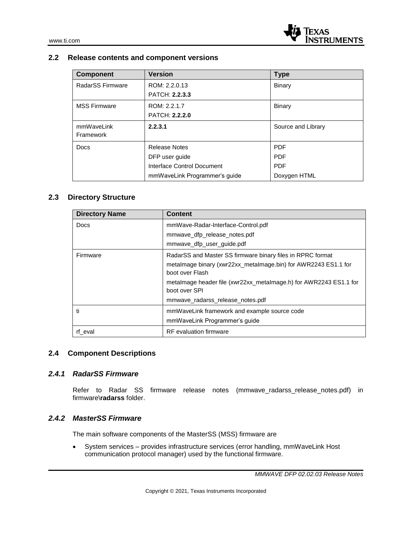### **2.2 Release contents and component versions**

| <b>Component</b>    | <b>Version</b>                    | <b>Type</b>        |
|---------------------|-----------------------------------|--------------------|
| RadarSS Firmware    | ROM: 2.2.0.13                     | Binary             |
|                     | PATCH: 2.2.3.3                    |                    |
| <b>MSS Firmware</b> | ROM: 2.2.1.7                      | Binary             |
|                     | <b>PATCH: 2.2.2.0</b>             |                    |
| mmWaveLink          | 2.2.3.1                           | Source and Library |
| Framework           |                                   |                    |
| Docs                | <b>Release Notes</b>              | <b>PDF</b>         |
|                     | DFP user guide                    | <b>PDF</b>         |
|                     | <b>Interface Control Document</b> | <b>PDF</b>         |
|                     | mmWaveLink Programmer's guide     | Doxygen HTML       |

### **2.3 Directory Structure**

| <b>Directory Name</b> | <b>Content</b>                                                                     |
|-----------------------|------------------------------------------------------------------------------------|
| Docs                  | mmWave-Radar-Interface-Control.pdf                                                 |
|                       | mmwave_dfp_release_notes.pdf                                                       |
|                       | mmwave_dfp_user_guide.pdf                                                          |
| Firmware              | RadarSS and Master SS firmware binary files in RPRC format                         |
|                       | metalmage binary (xwr22xx_metalmage.bin) for AWR2243 ES1.1 for<br>boot over Flash  |
|                       | metalmage header file (xwr22xx_metalmage.h) for AWR2243 ES1.1 for<br>boot over SPI |
|                       | mmwave radarss release notes.pdf                                                   |
| ti                    | mmWaveLink framework and example source code                                       |
|                       | mmWaveLink Programmer's quide                                                      |
| rf eval               | <b>RF</b> evaluation firmware                                                      |

### **2.4 Component Descriptions**

#### *2.4.1 RadarSS Firmware*

Refer to Radar SS firmware release notes (mmwave\_radarss\_release\_notes.pdf) in firmware\**radarss** folder.

### *2.4.2 MasterSS Firmware*

The main software components of the MasterSS (MSS) firmware are

• System services – provides infrastructure services (error handling, mmWaveLink Host communication protocol manager) used by the functional firmware.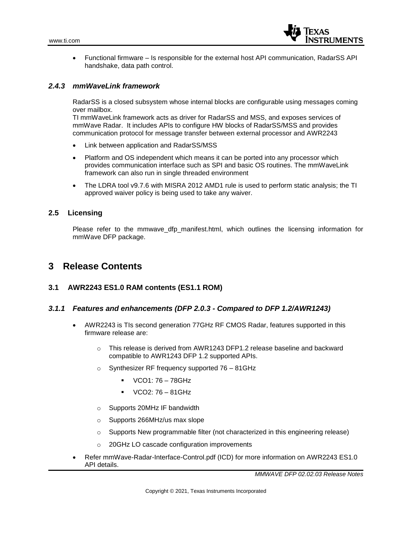

• Functional firmware – Is responsible for the external host API communication, RadarSS API handshake, data path control.

#### *2.4.3 mmWaveLink framework*

RadarSS is a closed subsystem whose internal blocks are configurable using messages coming over mailbox.

TI mmWaveLink framework acts as driver for RadarSS and MSS, and exposes services of mmWave Radar. It includes APIs to configure HW blocks of RadarSS/MSS and provides communication protocol for message transfer between external processor and AWR2243

- Link between application and RadarSS/MSS
- Platform and OS independent which means it can be ported into any processor which provides communication interface such as SPI and basic OS routines. The mmWaveLink framework can also run in single threaded environment
- The LDRA tool v9.7.6 with MISRA 2012 AMD1 rule is used to perform static analysis; the TI approved waiver policy is being used to take any waiver.

#### **2.5 Licensing**

Please refer to the mmwave dfp manifest.html, which outlines the licensing information for mmWave DFP package.

### **3 Release Contents**

#### **3.1 AWR2243 ES1.0 RAM contents (ES1.1 ROM)**

#### *3.1.1 Features and enhancements (DFP 2.0.3 - Compared to DFP 1.2/AWR1243)*

- AWR2243 is TIs second generation 77GHz RF CMOS Radar, features supported in this firmware release are:
	- $\circ$  This release is derived from AWR1243 DFP1.2 release baseline and backward compatible to AWR1243 DFP 1.2 supported APIs.
	- o Synthesizer RF frequency supported 76 81GHz
		- $VCO1: 76 78GHz$
		- VCO2: 76 81GHz
	- o Supports 20MHz IF bandwidth
	- o Supports 266MHz/us max slope
	- o Supports New programmable filter (not characterized in this engineering release)
	- o 20GHz LO cascade configuration improvements
- Refer mmWave-Radar-Interface-Control.pdf (ICD) for more information on AWR2243 ES1.0 API details.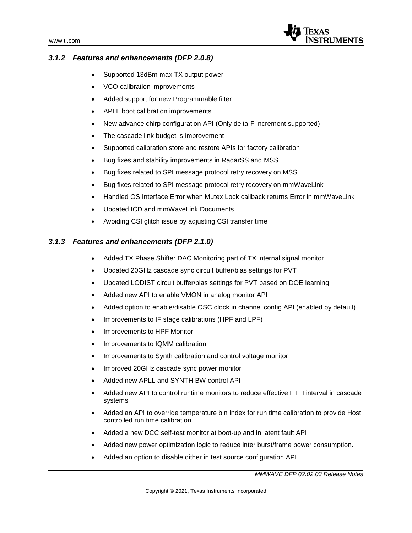

### *3.1.2 Features and enhancements (DFP 2.0.8)*

- Supported 13dBm max TX output power
- VCO calibration improvements
- Added support for new Programmable filter
- APLL boot calibration improvements
- New advance chirp configuration API (Only delta-F increment supported)
- The cascade link budget is improvement
- Supported calibration store and restore APIs for factory calibration
- Bug fixes and stability improvements in RadarSS and MSS
- Bug fixes related to SPI message protocol retry recovery on MSS
- Bug fixes related to SPI message protocol retry recovery on mmWaveLink
- Handled OS Interface Error when Mutex Lock callback returns Error in mmWaveLink
- Updated ICD and mmWaveLink Documents
- Avoiding CSI glitch issue by adjusting CSI transfer time

### *3.1.3 Features and enhancements (DFP 2.1.0)*

- Added TX Phase Shifter DAC Monitoring part of TX internal signal monitor
- Updated 20GHz cascade sync circuit buffer/bias settings for PVT
- Updated LODIST circuit buffer/bias settings for PVT based on DOE learning
- Added new API to enable VMON in analog monitor API
- Added option to enable/disable OSC clock in channel config API (enabled by default)
- Improvements to IF stage calibrations (HPF and LPF)
- Improvements to HPF Monitor
- Improvements to IQMM calibration
- Improvements to Synth calibration and control voltage monitor
- Improved 20GHz cascade sync power monitor
- Added new APLL and SYNTH BW control API
- Added new API to control runtime monitors to reduce effective FTTI interval in cascade systems
- Added an API to override temperature bin index for run time calibration to provide Host controlled run time calibration.
- Added a new DCC self-test monitor at boot-up and in latent fault API
- Added new power optimization logic to reduce inter burst/frame power consumption.
- Added an option to disable dither in test source configuration API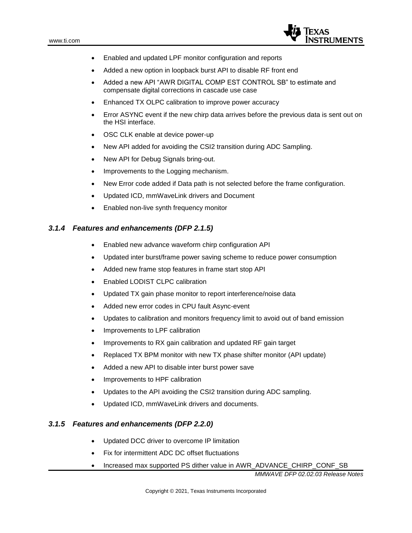

- Enabled and updated LPF monitor configuration and reports
- Added a new option in loopback burst API to disable RF front end
- Added a new API "AWR DIGITAL COMP EST CONTROL SB" to estimate and compensate digital corrections in cascade use case
- Enhanced TX OLPC calibration to improve power accuracy
- Error ASYNC event if the new chirp data arrives before the previous data is sent out on the HSI interface.
- OSC CLK enable at device power-up
- New API added for avoiding the CSI2 transition during ADC Sampling.
- New API for Debug Signals bring-out.
- Improvements to the Logging mechanism.
- New Error code added if Data path is not selected before the frame configuration.
- Updated ICD, mmWaveLink drivers and Document
- Enabled non-live synth frequency monitor

#### *3.1.4 Features and enhancements (DFP 2.1.5)*

- Enabled new advance waveform chirp configuration API
- Updated inter burst/frame power saving scheme to reduce power consumption
- Added new frame stop features in frame start stop API
- Enabled LODIST CLPC calibration
- Updated TX gain phase monitor to report interference/noise data
- Added new error codes in CPU fault Async-event
- Updates to calibration and monitors frequency limit to avoid out of band emission
- Improvements to LPF calibration
- Improvements to RX gain calibration and updated RF gain target
- Replaced TX BPM monitor with new TX phase shifter monitor (API update)
- Added a new API to disable inter burst power save
- Improvements to HPF calibration
- Updates to the API avoiding the CSI2 transition during ADC sampling.
- Updated ICD, mmWaveLink drivers and documents.

#### *3.1.5 Features and enhancements (DFP 2.2.0)*

- Updated DCC driver to overcome IP limitation
- Fix for intermittent ADC DC offset fluctuations
- Increased max supported PS dither value in AWR\_ADVANCE\_CHIRP\_CONF\_SB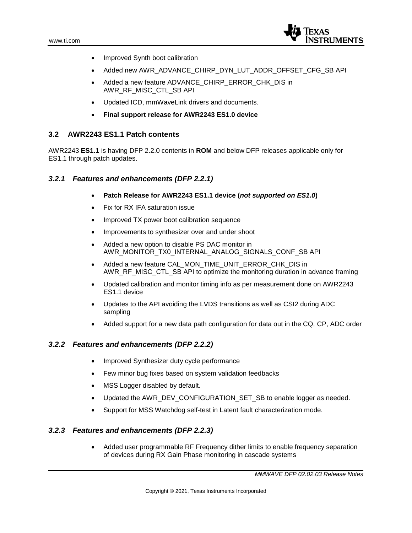

- Improved Synth boot calibration
- Added new AWR\_ADVANCE\_CHIRP\_DYN\_LUT\_ADDR\_OFFSET\_CFG\_SB API
- Added a new feature ADVANCE\_CHIRP\_ERROR\_CHK\_DIS in AWR\_RF\_MISC\_CTL\_SB API
- Updated ICD, mmWaveLink drivers and documents.
- **Final support release for AWR2243 ES1.0 device**

#### **3.2 AWR2243 ES1.1 Patch contents**

AWR2243 **ES1.1** is having DFP 2.2.0 contents in **ROM** and below DFP releases applicable only for ES1.1 through patch updates.

### *3.2.1 Features and enhancements (DFP 2.2.1)*

- **Patch Release for AWR2243 ES1.1 device (***not supported on ES1.0***)**
- Fix for RX IFA saturation issue
- Improved TX power boot calibration sequence
- Improvements to synthesizer over and under shoot
- Added a new option to disable PS DAC monitor in AWR\_MONITOR\_TX0\_INTERNAL\_ANALOG\_SIGNALS\_CONF\_SB API
- Added a new feature CAL\_MON\_TIME\_UNIT\_ERROR\_CHK\_DIS in AWR\_RF\_MISC\_CTL\_SB API to optimize the monitoring duration in advance framing
- Updated calibration and monitor timing info as per measurement done on AWR2243 ES1.1 device
- Updates to the API avoiding the LVDS transitions as well as CSI2 during ADC sampling
- Added support for a new data path configuration for data out in the CQ, CP, ADC order

### *3.2.2 Features and enhancements (DFP 2.2.2)*

- Improved Synthesizer duty cycle performance
- Few minor bug fixes based on system validation feedbacks
- MSS Logger disabled by default.
- Updated the AWR\_DEV\_CONFIGURATION\_SET\_SB to enable logger as needed.
- Support for MSS Watchdog self-test in Latent fault characterization mode.

### *3.2.3 Features and enhancements (DFP 2.2.3)*

• Added user programmable RF Frequency dither limits to enable frequency separation of devices during RX Gain Phase monitoring in cascade systems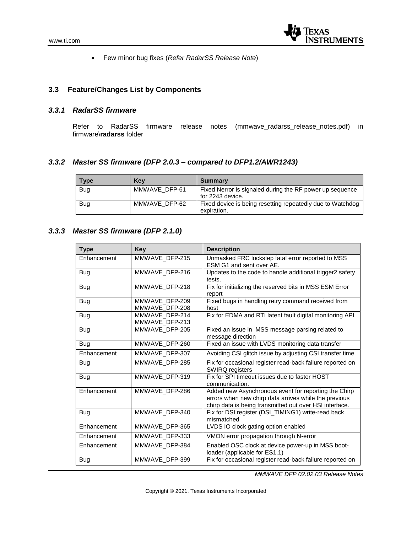

• Few minor bug fixes (*Refer RadarSS Release Note*)

### **3.3 Feature/Changes List by Components**

#### *3.3.1 RadarSS firmware*

Refer to RadarSS firmware release notes (mmwave\_radarss\_release\_notes.pdf) in firmware\**radarss** folder

### *3.3.2 Master SS firmware (DFP 2.0.3 – compared to DFP1.2/AWR1243)*

| Type       | <b>Kev</b>    | <b>Summary</b>                                                               |
|------------|---------------|------------------------------------------------------------------------------|
| <b>Bug</b> | MMWAVE DFP-61 | Fixed Nerror is signaled during the RF power up sequence<br>for 2243 device. |
| Bug        | MMWAVE DFP-62 | Fixed device is being resetting repeatedly due to Watchdog<br>expiration.    |

### *3.3.3 Master SS firmware (DFP 2.1.0)*

| <b>Type</b> | <b>Key</b>                       | <b>Description</b>                                                                                                                                                       |
|-------------|----------------------------------|--------------------------------------------------------------------------------------------------------------------------------------------------------------------------|
| Enhancement | MMWAVE_DFP-215                   | Unmasked FRC lockstep fatal error reported to MSS<br>ESM G1 and sent over AE.                                                                                            |
| Bug         | MMWAVE DFP-216                   | Updates to the code to handle additional trigger2 safety<br>tests.                                                                                                       |
| Bug         | MMWAVE DFP-218                   | Fix for initializing the reserved bits in MSS ESM Error<br>report                                                                                                        |
| Bug         | MMWAVE DFP-209<br>MMWAVE DFP-208 | Fixed bugs in handling retry command received from<br>host                                                                                                               |
| Bug         | MMWAVE DFP-214<br>MMWAVE DFP-213 | Fix for EDMA and RTI latent fault digital monitoring API                                                                                                                 |
| Bug         | MMWAVE DFP-205                   | Fixed an issue in MSS message parsing related to<br>message direction                                                                                                    |
| <b>Bug</b>  | MMWAVE DFP-260                   | Fixed an issue with LVDS monitoring data transfer                                                                                                                        |
| Enhancement | MMWAVE DFP-307                   | Avoiding CSI glitch issue by adjusting CSI transfer time                                                                                                                 |
| Bug         | MMWAVE DFP-285                   | Fix for occasional register read-back failure reported on<br><b>SWIRQ registers</b>                                                                                      |
| Bug         | MMWAVE DFP-319                   | Fix for SPI timeout issues due to faster HOST<br>communication.                                                                                                          |
| Enhancement | MMWAVE DFP-286                   | Added new Asynchronous event for reporting the Chirp<br>errors when new chirp data arrives while the previous<br>chirp data is being transmitted out over HSI interface. |
| Bug         | MMWAVE DFP-340                   | Fix for DSI register (DSI_TIMING1) write-read back<br>mismatched                                                                                                         |
| Enhancement | MMWAVE DFP-365                   | LVDS IO clock gating option enabled                                                                                                                                      |
| Enhancement | MMWAVE DFP-333                   | VMON error propagation through N-error                                                                                                                                   |
| Enhancement | MMWAVE DFP-384                   | Enabled OSC clock at device power-up in MSS boot-<br>loader (applicable for ES1.1)                                                                                       |
| Bug         | MMWAVE DFP-399                   | Fix for occasional register read-back failure reported on                                                                                                                |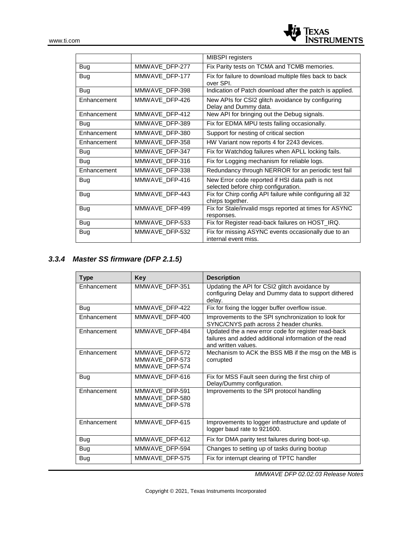

|             |                | <b>MIBSPI</b> registers                                                                 |
|-------------|----------------|-----------------------------------------------------------------------------------------|
| <b>Bug</b>  | MMWAVE_DFP-277 | Fix Parity tests on TCMA and TCMB memories.                                             |
| Bug         | MMWAVE DFP-177 | Fix for failure to download multiple files back to back<br>over SPL                     |
| <b>Bug</b>  | MMWAVE_DFP-398 | Indication of Patch download after the patch is applied.                                |
| Enhancement | MMWAVE DFP-426 | New APIs for CSI2 glitch avoidance by configuring<br>Delay and Dummy data.              |
| Enhancement | MMWAVE DFP-412 | New API for bringing out the Debug signals.                                             |
| <b>Bug</b>  | MMWAVE_DFP-389 | Fix for EDMA MPU tests failing occasionally.                                            |
| Enhancement | MMWAVE_DFP-380 | Support for nesting of critical section                                                 |
| Enhancement | MMWAVE DFP-358 | HW Variant now reports 4 for 2243 devices.                                              |
| <b>Bug</b>  | MMWAVE DFP-347 | Fix for Watchdog failures when APLL locking fails.                                      |
| <b>Bug</b>  | MMWAVE_DFP-316 | Fix for Logging mechanism for reliable logs.                                            |
| Enhancement | MMWAVE_DFP-338 | Redundancy through NERROR for an periodic test fail                                     |
| <b>Bug</b>  | MMWAVE_DFP-416 | New Error code reported if HSI data path is not<br>selected before chirp configuration. |
| <b>Bug</b>  | MMWAVE DFP-443 | Fix for Chirp config API failure while configuring all 32<br>chirps together.           |
| Bug         | MMWAVE DFP-499 | Fix for Stale/invalid msgs reported at times for ASYNC<br>responses.                    |
| Bug         | MMWAVE_DFP-533 | Fix for Register read-back failures on HOST_IRQ.                                        |
| Bug         | MMWAVE DFP-532 | Fix for missing ASYNC events occasionally due to an<br>internal event miss.             |

### *3.3.4 Master SS firmware (DFP 2.1.5)*

| <b>Type</b> | <b>Key</b>                                         | <b>Description</b>                                                                                                                  |
|-------------|----------------------------------------------------|-------------------------------------------------------------------------------------------------------------------------------------|
| Enhancement | MMWAVE DFP-351                                     | Updating the API for CSI2 glitch avoidance by<br>configuring Delay and Dummy data to support dithered<br>delay.                     |
| Bug         | MMWAVE DFP-422                                     | Fix for fixing the logger buffer overflow issue.                                                                                    |
| Enhancement | MMWAVE DFP-400                                     | Improvements to the SPI synchronization to look for<br>SYNC/CNYS path across 2 header chunks.                                       |
| Enhancement | MMWAVE DFP-484                                     | Updated the a new error code for register read-back<br>failures and added additional information of the read<br>and written values. |
| Enhancement | MMWAVE DFP-572<br>MMWAVE DFP-573<br>MMWAVE DFP-574 | Mechanism to ACK the BSS MB if the msg on the MB is<br>corrupted                                                                    |
| Bug         | MMWAVE DFP-616                                     | Fix for MSS Fault seen during the first chirp of<br>Delay/Dummy configuration.                                                      |
| Enhancement | MMWAVE DFP-591<br>MMWAVE_DFP-580<br>MMWAVE DFP-578 | Improvements to the SPI protocol handling                                                                                           |
| Enhancement | MMWAVE DFP-615                                     | Improvements to logger infrastructure and update of<br>logger baud rate to 921600.                                                  |
| Bug         | MMWAVE DFP-612                                     | Fix for DMA parity test failures during boot-up.                                                                                    |
| <b>Bug</b>  | MMWAVE DFP-594                                     | Changes to setting up of tasks during bootup                                                                                        |
| Bug         | MMWAVE DFP-575                                     | Fix for interrupt clearing of TPTC handler                                                                                          |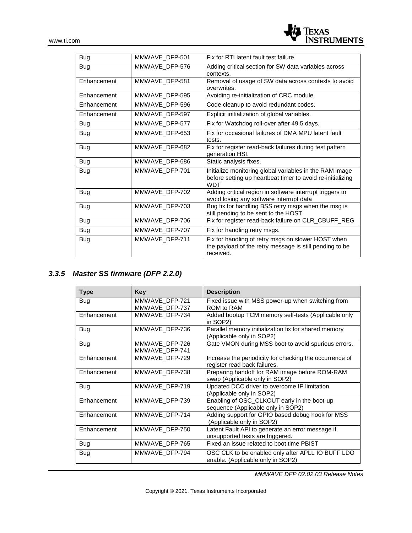

| Bug         | MMWAVE DFP-501 | Fix for RTI latent fault test failure.                                                                                              |
|-------------|----------------|-------------------------------------------------------------------------------------------------------------------------------------|
| Bug         | MMWAVE DFP-576 | Adding critical section for SW data variables across<br>contexts.                                                                   |
| Enhancement | MMWAVE_DFP-581 | Removal of usage of SW data across contexts to avoid<br>overwrites.                                                                 |
| Enhancement | MMWAVE DFP-595 | Avoiding re-initialization of CRC module.                                                                                           |
| Enhancement | MMWAVE DFP-596 | Code cleanup to avoid redundant codes.                                                                                              |
| Enhancement | MMWAVE DFP-597 | Explicit initialization of global variables.                                                                                        |
| Bug         | MMWAVE_DFP-577 | Fix for Watchdog roll-over after 49.5 days.                                                                                         |
| Bug         | MMWAVE DFP-653 | Fix for occasional failures of DMA MPU latent fault<br>tests.                                                                       |
| Bug         | MMWAVE_DFP-682 | Fix for register read-back failures during test pattern<br>generation HSI.                                                          |
| Bug         | MMWAVE DFP-686 | Static analysis fixes.                                                                                                              |
| Bug         | MMWAVE DFP-701 | Initialize monitoring global variables in the RAM image<br>before setting up heartbeat timer to avoid re-initializing<br><b>WDT</b> |
| Bug         | MMWAVE DFP-702 | Adding critical region in software interrupt triggers to<br>avoid losing any software interrupt data                                |
| Bug         | MMWAVE_DFP-703 | Bug fix for handling BSS retry msgs when the msg is<br>still pending to be sent to the HOST.                                        |
| Bug         | MMWAVE_DFP-706 | Fix for register read-back failure on CLR_CBUFF_REG                                                                                 |
| Bug         | MMWAVE DFP-707 | Fix for handling retry msgs.                                                                                                        |
| Bug         | MMWAVE_DFP-711 | Fix for handling of retry msgs on slower HOST when<br>the payload of the retry message is still pending to be<br>received.          |

### *3.3.5 Master SS firmware (DFP 2.2.0)*

| Type        | Key                              | <b>Description</b>                                                                      |
|-------------|----------------------------------|-----------------------------------------------------------------------------------------|
| Bug         | MMWAVE DFP-721<br>MMWAVE DFP-737 | Fixed issue with MSS power-up when switching from<br>ROM to RAM                         |
| Enhancement | MMWAVE DFP-734                   | Added bootup TCM memory self-tests (Applicable only<br>in SOP <sub>2</sub> )            |
| Bug         | MMWAVE DFP-736                   | Parallel memory initialization fix for shared memory<br>(Applicable only in SOP2)       |
| Bug         | MMWAVE_DFP-726<br>MMWAVE DFP-741 | Gate VMON during MSS boot to avoid spurious errors.                                     |
| Enhancement | MMWAVE DFP-729                   | Increase the periodicity for checking the occurrence of<br>register read back failures. |
| Enhancement | MMWAVE_DFP-738                   | Preparing handoff for RAM image before ROM-RAM<br>swap (Applicable only in SOP2)        |
| Bug         | MMWAVE DFP-719                   | Updated DCC driver to overcome IP limitation<br>(Applicable only in SOP2)               |
| Enhancement | MMWAVE DFP-739                   | Enabling of OSC_CLKOUT early in the boot-up<br>sequence (Applicable only in SOP2)       |
| Enhancement | MMWAVE DFP-714                   | Adding support for GPIO based debug hook for MSS<br>(Applicable only in SOP2)           |
| Enhancement | MMWAVE DFP-750                   | Latent Fault API to generate an error message if<br>unsupported tests are triggered.    |
| Bug         | MMWAVE DFP-765                   | Fixed an issue related to boot time PBIST                                               |
| Bug         | MMWAVE DFP-794                   | OSC CLK to be enabled only after APLL IO BUFF LDO<br>enable. (Applicable only in SOP2)  |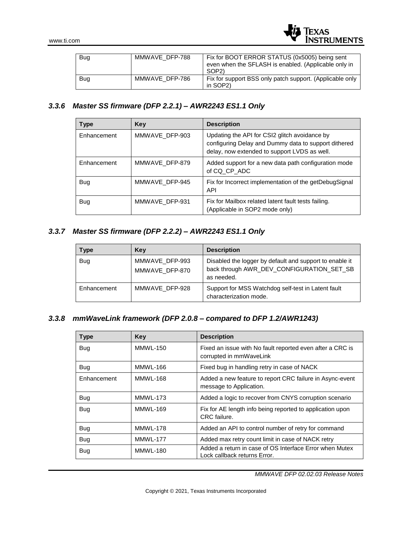

| Bug | MMWAVE DFP-788 | Fix for BOOT ERROR STATUS (0x5005) being sent<br>even when the SFLASH is enabled. (Applicable only in<br>SOP <sub>2</sub> ) |
|-----|----------------|-----------------------------------------------------------------------------------------------------------------------------|
| Bug | MMWAVE DFP-786 | Fix for support BSS only patch support. (Applicable only<br>in SOP2)                                                        |

### *3.3.6 Master SS firmware (DFP 2.2.1) – AWR2243 ES1.1 Only*

| <b>Type</b> | Key            | <b>Description</b>                                                                                                                                    |
|-------------|----------------|-------------------------------------------------------------------------------------------------------------------------------------------------------|
| Enhancement | MMWAVE DFP-903 | Updating the API for CSI2 glitch avoidance by<br>configuring Delay and Dummy data to support dithered<br>delay, now extended to support LVDS as well. |
| Enhancement | MMWAVE DFP-879 | Added support for a new data path configuration mode<br>of CQ CP ADC                                                                                  |
| <b>Bug</b>  | MMWAVE DFP-945 | Fix for Incorrect implementation of the getDebugSignal<br><b>API</b>                                                                                  |
| <b>Bug</b>  | MMWAVE DFP-931 | Fix for Mailbox related latent fault tests failing.<br>(Applicable in SOP2 mode only)                                                                 |

### *3.3.7 Master SS firmware (DFP 2.2.2) – AWR2243 ES1.1 Only*

| Type        | Key                              | <b>Description</b>                                                                                                 |
|-------------|----------------------------------|--------------------------------------------------------------------------------------------------------------------|
| <b>Bug</b>  | MMWAVE DFP-993<br>MMWAVE_DFP-870 | Disabled the logger by default and support to enable it<br>back through AWR_DEV_CONFIGURATION_SET_SB<br>as needed. |
| Enhancement | MMWAVE DFP-928                   | Support for MSS Watchdog self-test in Latent fault<br>characterization mode.                                       |

### *3.3.8 mmWaveLink framework (DFP 2.0.8 – compared to DFP 1.2/AWR1243)*

| <b>Type</b> | Key             | <b>Description</b>                                                                      |  |
|-------------|-----------------|-----------------------------------------------------------------------------------------|--|
| Bug         | <b>MMWL-150</b> | Fixed an issue with No fault reported even after a CRC is<br>corrupted in mmWaveLink    |  |
| Bug         | MMWL-166        | Fixed bug in handling retry in case of NACK                                             |  |
| Enhancement | <b>MMWL-168</b> | Added a new feature to report CRC failure in Async-event<br>message to Application.     |  |
| Bug         | <b>MMWL-173</b> | Added a logic to recover from CNYS corruption scenario                                  |  |
| Bug         | MMWL-169        | Fix for AE length info being reported to application upon<br>CRC failure.               |  |
| Bug         | <b>MMWL-178</b> | Added an API to control number of retry for command                                     |  |
| Bug         | <b>MMWL-177</b> | Added max retry count limit in case of NACK retry                                       |  |
| Bug         | <b>MMWL-180</b> | Added a return in case of OS Interface Error when Mutex<br>Lock callback returns Error. |  |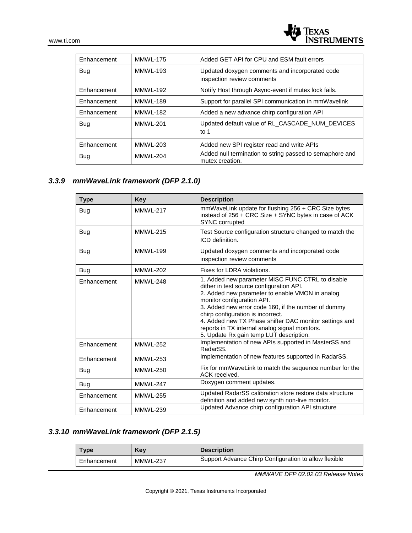| Enhancement | <b>MMWL-175</b> | Added GET API for CPU and ESM fault errors                                   |  |
|-------------|-----------------|------------------------------------------------------------------------------|--|
| <b>Bug</b>  | <b>MMWL-193</b> | Updated doxygen comments and incorporated code<br>inspection review comments |  |
| Enhancement | <b>MMWL-192</b> | Notify Host through Async-event if mutex lock fails.                         |  |
| Enhancement | <b>MMWL-189</b> | Support for parallel SPI communication in mmWavelink                         |  |
| Enhancement | <b>MMWL-182</b> | Added a new advance chirp configuration API                                  |  |
| <b>Bug</b>  | <b>MMWL-201</b> | Updated default value of RL CASCADE NUM DEVICES<br>to $1$                    |  |
| Enhancement | MMWL-203        | Added new SPI register read and write APIs                                   |  |
| <b>Bug</b>  | <b>MMWL-204</b> | Added null termination to string passed to semaphore and<br>mutex creation.  |  |

### *3.3.9 mmWaveLink framework (DFP 2.1.0)*

| <b>Type</b> | Key             | <b>Description</b>                                                                                                                                                                                                                                                                                                                                                                                                               |  |
|-------------|-----------------|----------------------------------------------------------------------------------------------------------------------------------------------------------------------------------------------------------------------------------------------------------------------------------------------------------------------------------------------------------------------------------------------------------------------------------|--|
| Bug         | <b>MMWL-217</b> | mmWaveLink update for flushing 256 + CRC Size bytes<br>instead of 256 + CRC Size + SYNC bytes in case of ACK<br>SYNC corrupted                                                                                                                                                                                                                                                                                                   |  |
| Bug         | <b>MMWL-215</b> | Test Source configuration structure changed to match the<br>ICD definition.                                                                                                                                                                                                                                                                                                                                                      |  |
| Bug         | <b>MMWL-199</b> | Updated doxygen comments and incorporated code<br>inspection review comments                                                                                                                                                                                                                                                                                                                                                     |  |
| <b>Bug</b>  | <b>MMWL-202</b> | Fixes for LDRA violations.                                                                                                                                                                                                                                                                                                                                                                                                       |  |
| Enhancement | <b>MMWL-248</b> | 1. Added new parameter MISC FUNC CTRL to disable<br>dither in test source configuration API.<br>2. Added new parameter to enable VMON in analog<br>monitor configuration API.<br>3. Added new error code 160, if the number of dummy<br>chirp configuration is incorrect.<br>4. Added new TX Phase shifter DAC monitor settings and<br>reports in TX internal analog signal monitors.<br>5. Update Rx gain temp LUT description. |  |
| Enhancement | <b>MMWL-252</b> | Implementation of new APIs supported in MasterSS and<br>RadarSS.                                                                                                                                                                                                                                                                                                                                                                 |  |
| Enhancement | <b>MMWL-253</b> | Implementation of new features supported in RadarSS.                                                                                                                                                                                                                                                                                                                                                                             |  |
| Bug         | <b>MMWL-250</b> | Fix for mmWaveLink to match the sequence number for the<br>ACK received.                                                                                                                                                                                                                                                                                                                                                         |  |
| Bug         | <b>MMWL-247</b> | Doxygen comment updates.                                                                                                                                                                                                                                                                                                                                                                                                         |  |
| Enhancement | <b>MMWL-255</b> | Updated RadarSS calibration store restore data structure<br>definition and added new synth non-live monitor.                                                                                                                                                                                                                                                                                                                     |  |
| Enhancement | <b>MMWL-239</b> | Updated Advance chirp configuration API structure                                                                                                                                                                                                                                                                                                                                                                                |  |

### *3.3.10 mmWaveLink framework (DFP 2.1.5)*

| Type        | Kev             | <b>Description</b>                                    |
|-------------|-----------------|-------------------------------------------------------|
| Enhancement | <b>MMWL-237</b> | Support Advance Chirp Configuration to allow flexible |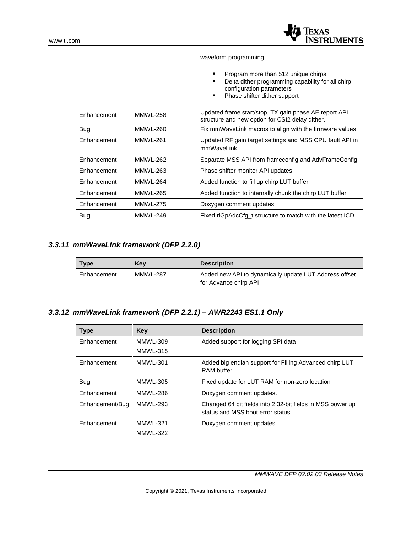

|             |                 | waveform programming:<br>Program more than 512 unique chirps<br>Delta dither programming capability for all chirp<br>configuration parameters<br>Phase shifter dither support<br>٠ |  |
|-------------|-----------------|------------------------------------------------------------------------------------------------------------------------------------------------------------------------------------|--|
| Enhancement | <b>MMWL-258</b> | Updated frame start/stop, TX gain phase AE report API<br>structure and new option for CSI2 delay dither.                                                                           |  |
| Bug         | <b>MMWL-260</b> | Fix mmWaveLink macros to align with the firmware values                                                                                                                            |  |
| Enhancement | <b>MMWL-261</b> | Updated RF gain target settings and MSS CPU fault API in<br>mmWaveLink                                                                                                             |  |
| Enhancement | <b>MMWL-262</b> | Separate MSS API from frameconfig and AdvFrameConfig                                                                                                                               |  |
| Enhancement | <b>MMWL-263</b> | Phase shifter monitor API updates                                                                                                                                                  |  |
| Enhancement | <b>MMWL-264</b> | Added function to fill up chirp LUT buffer                                                                                                                                         |  |
| Enhancement | <b>MMWL-265</b> | Added function to internally chunk the chirp LUT buffer                                                                                                                            |  |
| Enhancement | <b>MMWL-275</b> | Doxygen comment updates.                                                                                                                                                           |  |
| <b>Bug</b>  | <b>MMWL-249</b> | Fixed rlGpAdcCfg_t structure to match with the latest ICD                                                                                                                          |  |

### *3.3.11 mmWaveLink framework (DFP 2.2.0)*

| <b>Type</b> | Kev             | <b>Description</b>                                                              |  |
|-------------|-----------------|---------------------------------------------------------------------------------|--|
| Enhancement | <b>MMWL-287</b> | Added new API to dynamically update LUT Address offset<br>for Advance chirp API |  |

### *3.3.12 mmWaveLink framework (DFP 2.2.1) – AWR2243 ES1.1 Only*

| <b>Type</b>     | Key             | <b>Description</b>                                                                             |
|-----------------|-----------------|------------------------------------------------------------------------------------------------|
| Enhancement     | <b>MMWL-309</b> | Added support for logging SPI data                                                             |
|                 | MMWL-315        |                                                                                                |
| Enhancement     | MMWL-301        | Added big endian support for Filling Advanced chirp LUT<br><b>RAM</b> buffer                   |
| <b>Bug</b>      | <b>MMWL-305</b> | Fixed update for LUT RAM for non-zero location                                                 |
| Enhancement     | MMWL-286        | Doxygen comment updates.                                                                       |
| Enhancement/Bug | <b>MMWL-293</b> | Changed 64 bit fields into 2 32-bit fields in MSS power up<br>status and MSS boot error status |
| Enhancement     | <b>MMWL-321</b> | Doxygen comment updates.                                                                       |
|                 | <b>MMWL-322</b> |                                                                                                |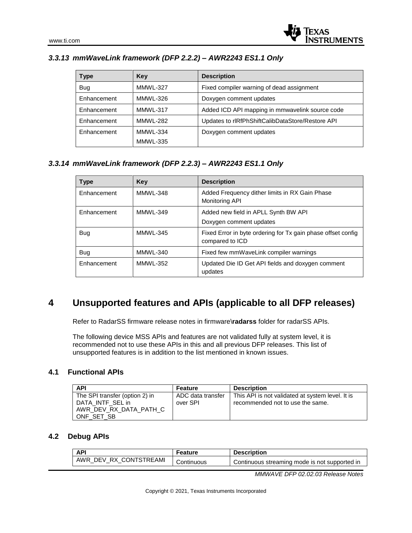| Type        | Key             | <b>Description</b>                               |  |
|-------------|-----------------|--------------------------------------------------|--|
| <b>Bug</b>  | MMWL-327        | Fixed compiler warning of dead assignment        |  |
| Enhancement | <b>MMWL-326</b> | Doxygen comment updates                          |  |
| Enhancement | MMWL-317        | Added ICD API mapping in mmwavelink source code  |  |
| Enhancement | <b>MMWL-282</b> | Updates to rIRfPhShiftCalibDataStore/Restore API |  |
| Enhancement | MMWL-334        | Doxygen comment updates                          |  |
|             | MMWL-335        |                                                  |  |

### *3.3.13 mmWaveLink framework (DFP 2.2.2) – AWR2243 ES1.1 Only*

### *3.3.14 mmWaveLink framework (DFP 2.2.3) – AWR2243 ES1.1 Only*

| <b>Type</b> | Key             | <b>Description</b>                                                              |
|-------------|-----------------|---------------------------------------------------------------------------------|
| Enhancement | MMWL-348        | Added Frequency dither limits in RX Gain Phase<br>Monitoring API                |
| Enhancement | MMWL-349        | Added new field in APLL Synth BW API<br>Doxygen comment updates                 |
|             | <b>MMWL-345</b> |                                                                                 |
| <b>Bug</b>  |                 | Fixed Error in byte ordering for Tx gain phase offset config<br>compared to ICD |
| <b>Bug</b>  | MMWL-340        | Fixed few mmWaveLink compiler warnings                                          |
| Enhancement | <b>MMWL-352</b> | Updated Die ID Get API fields and doxygen comment<br>updates                    |

### **4 Unsupported features and APIs (applicable to all DFP releases)**

Refer to RadarSS firmware release notes in firmware\**radarss** folder for radarSS APIs.

The following device MSS APIs and features are not validated fully at system level, it is recommended not to use these APIs in this and all previous DFP releases. This list of unsupported features is in addition to the list mentioned in known issues.

### **4.1 Functional APIs**

| <b>API</b>                                                                                 | Feature                       | <b>Description</b>                                                                   |
|--------------------------------------------------------------------------------------------|-------------------------------|--------------------------------------------------------------------------------------|
| The SPI transfer (option 2) in<br>DATA INTF SEL in<br>AWR DEV RX DATA PATH C<br>ONF SET SB | ADC data transfer<br>over SPI | This API is not validated at system level. It is<br>recommended not to use the same. |

### **4.2 Debug APIs**

| AP!                    | Feature    | <b>Description</b>                            |
|------------------------|------------|-----------------------------------------------|
| AWR_DEV_RX_CONTSTREAMI | Continuous | Continuous streaming mode is not supported in |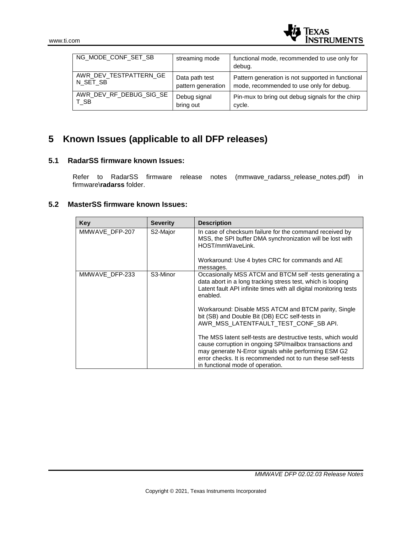

| NG MODE CONF SET SB     | streaming mode     | functional mode, recommended to use only for      |
|-------------------------|--------------------|---------------------------------------------------|
|                         |                    | debug.                                            |
| AWR DEV TESTPATTERN GE  | Data path test     | Pattern generation is not supported in functional |
| N_SET_SB                | pattern generation | mode, recommended to use only for debug.          |
| AWR_DEV_RF_DEBUG_SIG_SE | Debug signal       | Pin-mux to bring out debug signals for the chirp  |
| T SB                    | bring out          | cycle.                                            |

# **5 Known Issues (applicable to all DFP releases)**

### **5.1 RadarSS firmware known Issues:**

Refer to RadarSS firmware release notes (mmwave\_radarss\_release\_notes.pdf) in firmware\**radarss** folder.

### **5.2 MasterSS firmware known Issues:**

| Key            | <b>Severity</b> | <b>Description</b>                                                                                                                                                                                                                                                                  |
|----------------|-----------------|-------------------------------------------------------------------------------------------------------------------------------------------------------------------------------------------------------------------------------------------------------------------------------------|
| MMWAVE DFP-207 | S2-Major        | In case of checksum failure for the command received by<br>MSS, the SPI buffer DMA synchronization will be lost with<br>HOST/mmWaveLink.                                                                                                                                            |
|                |                 | Workaround: Use 4 bytes CRC for commands and AE<br>messages.                                                                                                                                                                                                                        |
| MMWAVE DFP-233 | S3-Minor        | Occasionally MSS ATCM and BTCM self-tests generating a<br>data abort in a long tracking stress test, which is looping<br>Latent fault API infinite times with all digital monitoring tests<br>enabled.                                                                              |
|                |                 | Workaround: Disable MSS ATCM and BTCM parity, Single<br>bit (SB) and Double Bit (DB) ECC self-tests in<br>AWR_MSS_LATENTFAULT_TEST_CONF_SB API.                                                                                                                                     |
|                |                 | The MSS latent self-tests are destructive tests, which would<br>cause corruption in ongoing SPI/mailbox transactions and<br>may generate N-Error signals while performing ESM G2<br>error checks. It is recommended not to run these self-tests<br>in functional mode of operation. |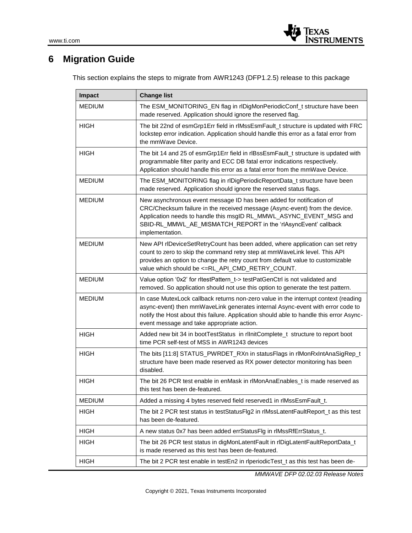

## **6 Migration Guide**

This section explains the steps to migrate from AWR1243 (DFP1.2.5) release to this package

| <b>Impact</b> | <b>Change list</b>                                                                                                                                                                                                                                                                                             |  |  |
|---------------|----------------------------------------------------------------------------------------------------------------------------------------------------------------------------------------------------------------------------------------------------------------------------------------------------------------|--|--|
| <b>MEDIUM</b> | The ESM_MONITORING_EN flag in rlDigMonPeriodicConf_t structure have been<br>made reserved. Application should ignore the reserved flag.                                                                                                                                                                        |  |  |
| <b>HIGH</b>   | The bit 22nd of esmGrp1Err field in rlMssEsmFault_t structure is updated with FRC<br>lockstep error indication. Application should handle this error as a fatal error from<br>the mmWave Device.                                                                                                               |  |  |
| <b>HIGH</b>   | The bit 14 and 25 of esmGrp1Err field in rlBssEsmFault_t structure is updated with<br>programmable filter parity and ECC DB fatal error indications respectively.<br>Application should handle this error as a fatal error from the mmWave Device.                                                             |  |  |
| <b>MEDIUM</b> | The ESM_MONITORING flag in rlDigPeriodicReportData_t structure have been<br>made reserved. Application should ignore the reserved status flags.                                                                                                                                                                |  |  |
| MEDIUM        | New asynchronous event message ID has been added for notification of<br>CRC/Checksum failure in the received message (Async-event) from the device.<br>Application needs to handle this msgID RL_MMWL_ASYNC_EVENT_MSG and<br>SBID-RL_MMWL_AE_MISMATCH_REPORT in the 'rlAsyncEvent' callback<br>implementation. |  |  |
| <b>MEDIUM</b> | New API rIDeviceSetRetryCount has been added, where application can set retry<br>count to zero to skip the command retry step at mmWaveLink level. This API<br>provides an option to change the retry count from default value to customizable<br>value which should be <= RL_API_CMD_RETRY_COUNT.             |  |  |
| <b>MEDIUM</b> | Value option '0x2' for ritestPattern t-> testPatGenCtrl is not validated and<br>removed. So application should not use this option to generate the test pattern.                                                                                                                                               |  |  |
| <b>MEDIUM</b> | In case MutexLock callback returns non-zero value in the interrupt context (reading<br>async-event) then mmWaveLink generates internal Async-event with error code to<br>notify the Host about this failure. Application should able to handle this error Async-<br>event message and take appropriate action. |  |  |
| <b>HIGH</b>   | Added new bit 34 in bootTestStatus in rlInitComplete_t structure to report boot<br>time PCR self-test of MSS in AWR1243 devices                                                                                                                                                                                |  |  |
| <b>HIGH</b>   | The bits [11:8] STATUS_PWRDET_RXn in statusFlags in rlMonRxIntAnaSigRep_t<br>structure have been made reserved as RX power detector monitoring has been<br>disabled.                                                                                                                                           |  |  |
| <b>HIGH</b>   | The bit 26 PCR test enable in enMask in rlMonAnaEnables_t is made reserved as<br>this test has been de-featured.                                                                                                                                                                                               |  |  |
| <b>MEDIUM</b> | Added a missing 4 bytes reserved field reserved1 in rlMssEsmFault_t.                                                                                                                                                                                                                                           |  |  |
| <b>HIGH</b>   | The bit 2 PCR test status in testStatusFlg2 in rlMssLatentFaultReport_t as this test<br>has been de-featured.                                                                                                                                                                                                  |  |  |
| <b>HIGH</b>   | A new status 0x7 has been added errStatusFlg in rlMssRfErrStatus_t.                                                                                                                                                                                                                                            |  |  |
| <b>HIGH</b>   | The bit 26 PCR test status in digMonLatentFault in rlDigLatentFaultReportData_t<br>is made reserved as this test has been de-featured.                                                                                                                                                                         |  |  |
| HIGH          | The bit 2 PCR test enable in testEn2 in rlperiodicTest_t as this test has been de-                                                                                                                                                                                                                             |  |  |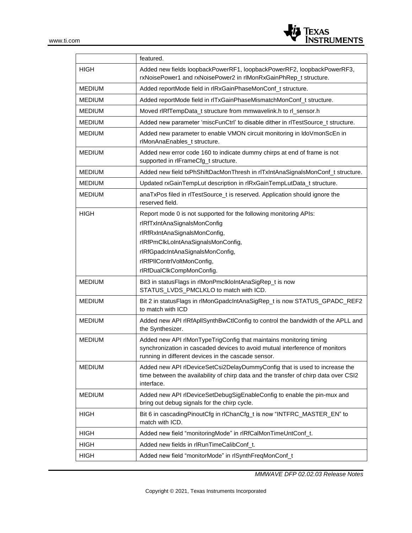

|               | featured.                                                                                                                                                                                                                                                                |  |  |
|---------------|--------------------------------------------------------------------------------------------------------------------------------------------------------------------------------------------------------------------------------------------------------------------------|--|--|
| <b>HIGH</b>   | Added new fields loopbackPowerRF1, loopbackPowerRF2, loopbackPowerRF3,<br>rxNoisePower1 and rxNoisePower2 in rlMonRxGainPhRep_t structure.                                                                                                                               |  |  |
| <b>MEDIUM</b> | Added reportMode field in rIRxGainPhaseMonConf_t structure.                                                                                                                                                                                                              |  |  |
| <b>MEDIUM</b> | Added reportMode field in rITxGainPhaseMismatchMonConf_t structure.                                                                                                                                                                                                      |  |  |
| <b>MEDIUM</b> | Moved rlRfTempData_t structure from mmwavelink.h to rl_sensor.h                                                                                                                                                                                                          |  |  |
| <b>MEDIUM</b> | Added new parameter 'miscFunCtrl' to disable dither in rlTestSource_t structure.                                                                                                                                                                                         |  |  |
| <b>MEDIUM</b> | Added new parameter to enable VMON circuit monitoring in IdoVmonScEn in<br>rlMonAnaEnables_t structure.                                                                                                                                                                  |  |  |
| <b>MEDIUM</b> | Added new error code 160 to indicate dummy chirps at end of frame is not<br>supported in rlFrameCfg_t structure.                                                                                                                                                         |  |  |
| <b>MEDIUM</b> | Added new field txPhShiftDacMonThresh in rlTxIntAnaSignalsMonConf_t structure.                                                                                                                                                                                           |  |  |
| <b>MEDIUM</b> | Updated rxGainTempLut description in rlRxGainTempLutData_t structure.                                                                                                                                                                                                    |  |  |
| <b>MEDIUM</b> | anaTxPos filed in rITestSource_t is reserved. Application should ignore the<br>reserved field.                                                                                                                                                                           |  |  |
| <b>HIGH</b>   | Report mode 0 is not supported for the following monitoring APIs:<br>rlRfTxIntAnaSignalsMonConfig<br>rlRfRxIntAnaSignalsMonConfig,<br>rlRfPmClkLoIntAnaSignalsMonConfig,<br>rlRfGpadcIntAnaSignalsMonConfig,<br>rlRfPllContrlVoltMonConfig,<br>rlRfDualClkCompMonConfig. |  |  |
| <b>MEDIUM</b> | Bit3 in statusFlags in rlMonPmclkloIntAnaSigRep_t is now<br>STATUS_LVDS_PMCLKLO to match with ICD.                                                                                                                                                                       |  |  |
| <b>MEDIUM</b> | Bit 2 in statusFlags in rlMonGpadcIntAnaSigRep_t is now STATUS_GPADC_REF2<br>to match with ICD                                                                                                                                                                           |  |  |
| <b>MEDIUM</b> | Added new API rlRfApllSynthBwCtlConfig to control the bandwidth of the APLL and<br>the Synthesizer.                                                                                                                                                                      |  |  |
| <b>MEDIUM</b> | Added new API rlMonTypeTrigConfig that maintains monitoring timing<br>synchronization in cascaded devices to avoid mutual interference of monitors<br>running in different devices in the cascade sensor.                                                                |  |  |
| <b>MEDIUM</b> | Added new API rlDeviceSetCsi2DelayDummyConfig that is used to increase the<br>time between the availability of chirp data and the transfer of chirp data over CSI2<br>interface.                                                                                         |  |  |
| <b>MEDIUM</b> | Added new API rlDeviceSetDebugSigEnableConfig to enable the pin-mux and<br>bring out debug signals for the chirp cycle.                                                                                                                                                  |  |  |
| <b>HIGH</b>   | Bit 6 in cascading Pinout Cfg in rlChan Cfg_t is now "INTFRC_MASTER_EN" to<br>match with ICD.                                                                                                                                                                            |  |  |
| <b>HIGH</b>   | Added new field "monitoringMode" in rlRfCalMonTimeUntConf_t.                                                                                                                                                                                                             |  |  |
| <b>HIGH</b>   | Added new fields in rlRunTimeCalibConf_t.                                                                                                                                                                                                                                |  |  |
| <b>HIGH</b>   | Added new field "monitorMode" in rlSynthFreqMonConf_t                                                                                                                                                                                                                    |  |  |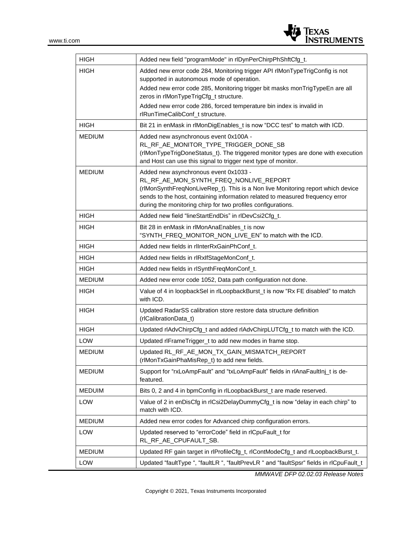

| <b>HIGH</b>   | Added new field "programMode" in rlDynPerChirpPhShftCfg_t.                                                                                                                                                                                                                                                          |
|---------------|---------------------------------------------------------------------------------------------------------------------------------------------------------------------------------------------------------------------------------------------------------------------------------------------------------------------|
| <b>HIGH</b>   | Added new error code 284, Monitoring trigger API rlMonTypeTrigConfig is not<br>supported in autonomous mode of operation.                                                                                                                                                                                           |
|               | Added new error code 285, Monitoring trigger bit masks monTrigTypeEn are all<br>zeros in rlMonTypeTrigCfg_t structure.                                                                                                                                                                                              |
|               | Added new error code 286, forced temperature bin index is invalid in<br>rlRunTimeCalibConf_t structure.                                                                                                                                                                                                             |
| HIGH          | Bit 21 in enMask in rlMonDigEnables_t is now "DCC test" to match with ICD.                                                                                                                                                                                                                                          |
| <b>MEDIUM</b> | Added new asynchronous event 0x100A -<br>RL_RF_AE_MONITOR_TYPE_TRIGGER_DONE_SB<br>(rlMonTypeTrigDoneStatus_t). The triggered monitor types are done with execution<br>and Host can use this signal to trigger next type of monitor.                                                                                 |
| <b>MEDIUM</b> | Added new asynchronous event 0x1033 -<br>RL_RF_AE_MON_SYNTH_FREQ_NONLIVE_REPORT<br>(rlMonSynthFreqNonLiveRep_t). This is a Non live Monitoring report which device<br>sends to the host, containing information related to measured frequency error<br>during the monitoring chirp for two profiles configurations. |
| <b>HIGH</b>   | Added new field "lineStartEndDis" in rlDevCsi2Cfg_t.                                                                                                                                                                                                                                                                |
| <b>HIGH</b>   | Bit 28 in enMask in rlMonAnaEnables_t is now<br>"SYNTH_FREQ_MONITOR_NON_LIVE_EN" to match with the ICD.                                                                                                                                                                                                             |
| <b>HIGH</b>   | Added new fields in rlInterRxGainPhConf t.                                                                                                                                                                                                                                                                          |
| <b>HIGH</b>   | Added new fields in rlRxIfStageMonConf_t.                                                                                                                                                                                                                                                                           |
| <b>HIGH</b>   | Added new fields in rlSynthFreqMonConf_t.                                                                                                                                                                                                                                                                           |
| <b>MEDIUM</b> | Added new error code 1052, Data path configuration not done.                                                                                                                                                                                                                                                        |
| HIGH          | Value of 4 in loopbackSel in rlLoopbackBurst_t is now "Rx FE disabled" to match<br>with ICD.                                                                                                                                                                                                                        |
| <b>HIGH</b>   | Updated RadarSS calibration store restore data structure definition<br>(rlCalibrationData_t)                                                                                                                                                                                                                        |
| <b>HIGH</b>   | Updated rlAdvChirpCfg_t and added rlAdvChirpLUTCfg_t to match with the ICD.                                                                                                                                                                                                                                         |
| LOW           | Updated rlFrameTrigger_t to add new modes in frame stop.                                                                                                                                                                                                                                                            |
| <b>MEDIUM</b> | Updated RL_RF_AE_MON_TX_GAIN_MISMATCH_REPORT<br>(rlMonTxGainPhaMisRep_t) to add new fields.                                                                                                                                                                                                                         |
| <b>MEDIUM</b> | Support for "rxLoAmpFault" and "txLoAmpFault" fields in rlAnaFaultInj_t is de-<br>featured.                                                                                                                                                                                                                         |
| <b>MEDUIM</b> | Bits 0, 2 and 4 in bpmConfig in rlLoopbackBurst_t are made reserved.                                                                                                                                                                                                                                                |
| LOW           | Value of 2 in enDisCfg in rlCsi2DelayDummyCfg_t is now "delay in each chirp" to<br>match with ICD.                                                                                                                                                                                                                  |
| <b>MEDIUM</b> | Added new error codes for Advanced chirp configuration errors.                                                                                                                                                                                                                                                      |
| LOW           | Updated reserved to "errorCode" field in rlCpuFault_t for<br>RL_RF_AE_CPUFAULT_SB.                                                                                                                                                                                                                                  |
| <b>MEDIUM</b> | Updated RF gain target in rlProfileCfg_t, rlContModeCfg_t and rlLoopbackBurst_t.                                                                                                                                                                                                                                    |
| LOW           | Updated "faultType ", "faultLR ", "faultPrevLR " and "faultSpsr" fields in rlCpuFault_t                                                                                                                                                                                                                             |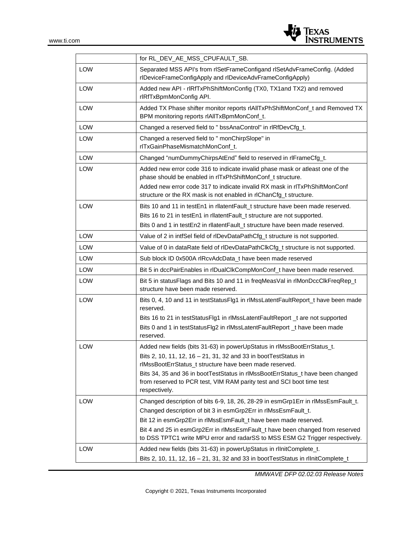

|            | for RL_DEV_AE_MSS_CPUFAULT_SB.                                                                                                                                                                                                                                                                                                                                                          |  |  |
|------------|-----------------------------------------------------------------------------------------------------------------------------------------------------------------------------------------------------------------------------------------------------------------------------------------------------------------------------------------------------------------------------------------|--|--|
| <b>LOW</b> | Separated MSS API's from rISetFrameConfigand rISetAdvFrameConfig. (Added<br>rlDeviceFrameConfigApply and rlDeviceAdvFrameConfigApply)                                                                                                                                                                                                                                                   |  |  |
| <b>LOW</b> | Added new API - rIRfTxPhShiftMonConfig (TX0, TX1 and TX2) and removed<br>rlRfTxBpmMonConfig API.                                                                                                                                                                                                                                                                                        |  |  |
| LOW        | Added TX Phase shifter monitor reports rIAIITxPhShiftMonConf_t and Removed TX<br>BPM monitoring reports rIAIITxBpmMonConf_t.                                                                                                                                                                                                                                                            |  |  |
| <b>LOW</b> | Changed a reserved field to " bssAnaControl" in rIRfDevCfg_t.                                                                                                                                                                                                                                                                                                                           |  |  |
| <b>LOW</b> | Changed a reserved field to " monChirpSlope" in<br>rlTxGainPhaseMismatchMonConf_t.                                                                                                                                                                                                                                                                                                      |  |  |
| <b>LOW</b> | Changed "numDummyChirpsAtEnd" field to reserved in rlFrameCfg_t.                                                                                                                                                                                                                                                                                                                        |  |  |
| <b>LOW</b> | Added new error code 316 to indicate invalid phase mask or atleast one of the<br>phase should be enabled in rITxPhShiftMonConf_t structure.<br>Added new error code 317 to indicate invalid RX mask in rITxPhShiftMonConf<br>structure or the RX mask is not enabled in rlChanCfg_t structure.                                                                                          |  |  |
| <b>LOW</b> | Bits 10 and 11 in testEn1 in rilatentFault_t structure have been made reserved.<br>Bits 16 to 21 in testEn1 in rllatentFault_t structure are not supported.<br>Bits 0 and 1 in testEn2 in rllatentFault_t structure have been made reserved.                                                                                                                                            |  |  |
| LOW        | Value of 2 in intfSel field of rlDevDataPathCfg_t structure is not supported.                                                                                                                                                                                                                                                                                                           |  |  |
| <b>LOW</b> | Value of 0 in dataRate field of rlDevDataPathClkCfg_t structure is not supported.                                                                                                                                                                                                                                                                                                       |  |  |
| LOW        | Sub block ID 0x500A rlRcvAdcData_t have been made reserved                                                                                                                                                                                                                                                                                                                              |  |  |
| LOW        | Bit 5 in dccPairEnables in rlDualClkCompMonConf_t have been made reserved.                                                                                                                                                                                                                                                                                                              |  |  |
| LOW        | Bit 5 in statusFlags and Bits 10 and 11 in freqMeasVal in rlMonDccClkFreqRep_t<br>structure have been made reserved.                                                                                                                                                                                                                                                                    |  |  |
| <b>LOW</b> | Bits 0, 4, 10 and 11 in testStatusFlg1 in rlMssLatentFaultReport_t have been made<br>reserved.<br>Bits 16 to 21 in testStatusFlg1 in rlMssLatentFaultReport _t are not supported<br>Bits 0 and 1 in testStatusFlg2 in rlMssLatentFaultReport _t have been made<br>reserved.                                                                                                             |  |  |
| LOW        | Added new fields (bits 31-63) in powerUpStatus in rlMssBootErrStatus_t.<br>Bits 2, 10, 11, 12, 16 - 21, 31, 32 and 33 in bootTestStatus in<br>rlMssBootErrStatus_t structure have been made reserved.<br>Bits 34, 35 and 36 in bootTestStatus in rIMssBootErrStatus_t have been changed<br>from reserved to PCR test, VIM RAM parity test and SCI boot time test<br>respectively.       |  |  |
| LOW        | Changed description of bits 6-9, 18, 26, 28-29 in esmGrp1Err in rlMssEsmFault_t.<br>Changed description of bit 3 in esmGrp2Err in rlMssEsmFault_t.<br>Bit 12 in esmGrp2Err in rlMssEsmFault_t have been made reserved.<br>Bit 4 and 25 in esmGrp2Err in rlMssEsmFault_t have been changed from reserved<br>to DSS TPTC1 write MPU error and radarSS to MSS ESM G2 Trigger respectively. |  |  |
| LOW        | Added new fields (bits 31-63) in powerUpStatus in rIInitComplete_t.<br>Bits 2, 10, 11, 12, 16 - 21, 31, 32 and 33 in bootTestStatus in rlInitComplete_t                                                                                                                                                                                                                                 |  |  |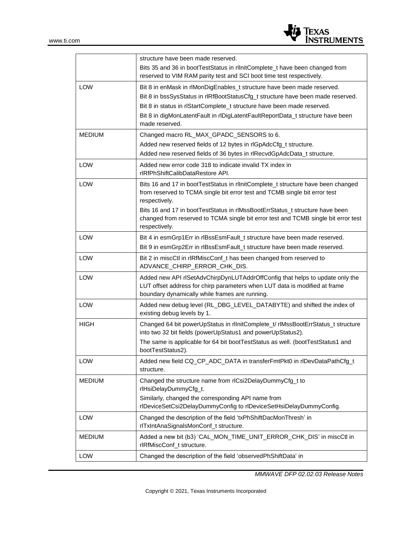

|               | structure have been made reserved.<br>Bits 35 and 36 in bootTestStatus in rlInitComplete_t have been changed from<br>reserved to VIM RAM parity test and SCI boot time test respectively.                                                                                                                                                                              |  |  |
|---------------|------------------------------------------------------------------------------------------------------------------------------------------------------------------------------------------------------------------------------------------------------------------------------------------------------------------------------------------------------------------------|--|--|
| <b>LOW</b>    | Bit 8 in enMask in rlMonDigEnables_t structure have been made reserved.<br>Bit 8 in bssSysStatus in rIRfBootStatusCfg_t structure have been made reserved.<br>Bit 8 in status in rlStartComplete_t structure have been made reserved.<br>Bit 8 in digMonLatentFault in rlDigLatentFaultReportData_t structure have been<br>made reserved.                              |  |  |
| <b>MEDIUM</b> | Changed macro RL_MAX_GPADC_SENSORS to 6.<br>Added new reserved fields of 12 bytes in rlGpAdcCfg_t structure.<br>Added new reserved fields of 36 bytes in rlRecvdGpAdcData_t structure.                                                                                                                                                                                 |  |  |
| LOW           | Added new error code 318 to indicate invalid TX index in<br>rlRfPhShiftCalibDataRestore API.                                                                                                                                                                                                                                                                           |  |  |
| LOW           | Bits 16 and 17 in bootTestStatus in rlInitComplete_t structure have been changed<br>from reserved to TCMA single bit error test and TCMB single bit error test<br>respectively.<br>Bits 16 and 17 in bootTestStatus in rlMssBootErrStatus_t structure have been<br>changed from reserved to TCMA single bit error test and TCMB single bit error test<br>respectively. |  |  |
| LOW           | Bit 4 in esmGrp1Err in rlBssEsmFault_t structure have been made reserved.                                                                                                                                                                                                                                                                                              |  |  |
| LOW           | Bit 9 in esmGrp2Err in rlBssEsmFault_t structure have been made reserved.<br>Bit 2 in miscCtl in rIRfMiscConf_t has been changed from reserved to<br>ADVANCE_CHIRP_ERROR_CHK_DIS.                                                                                                                                                                                      |  |  |
| LOW           | Added new API rlSetAdvChirpDynLUTAddrOffConfig that helps to update only the<br>LUT offset address for chirp parameters when LUT data is modified at frame<br>boundary dynamically while frames are running.                                                                                                                                                           |  |  |
| <b>LOW</b>    | Added new debug level (RL_DBG_LEVEL_DATABYTE) and shifted the index of<br>existing debug levels by 1.                                                                                                                                                                                                                                                                  |  |  |
| <b>HIGH</b>   | Changed 64 bit powerUpStatus in rlInitComplete_t/ rlMssBootErrStatus_t structure<br>into two 32 bit fields (powerUpStatus1 and powerUpStatus2).<br>The same is applicable for 64 bit bootTestStatus as well. (bootTestStatus1 and<br>bootTestStatus2).                                                                                                                 |  |  |
| LOW           | Added new field CQ_CP_ADC_DATA in transferFmtPkt0 in rlDevDataPathCfg_t<br>structure.                                                                                                                                                                                                                                                                                  |  |  |
| <b>MEDIUM</b> | Changed the structure name from rlCsi2DelayDummyCfg_t to<br>rlHsiDelayDummyCfg_t.<br>Similarly, changed the corresponding API name from<br>rlDeviceSetCsi2DelayDummyConfig to rlDeviceSetHsiDelayDummyConfig.                                                                                                                                                          |  |  |
| LOW           | Changed the description of the field 'txPhShiftDacMonThresh' in<br>rlTxIntAnaSignalsMonConf_t structure.                                                                                                                                                                                                                                                               |  |  |
| <b>MEDIUM</b> | Added a new bit (b3) 'CAL_MON_TIME_UNIT_ERROR_CHK_DIS' in miscCtl in<br>rlRfMiscConf_t structure.                                                                                                                                                                                                                                                                      |  |  |
| LOW           | Changed the description of the field 'observedPhShiftData' in                                                                                                                                                                                                                                                                                                          |  |  |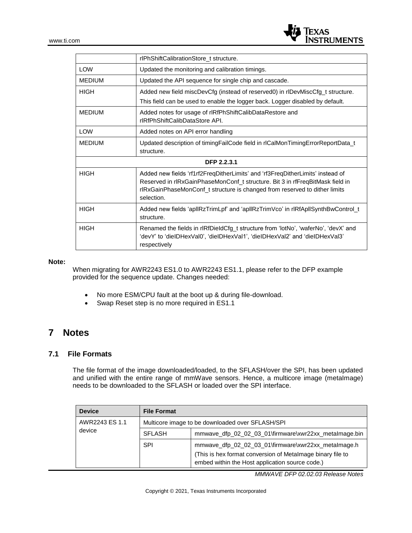

|               | rlPhShiftCalibrationStore_t structure.                                                                                                                                                                                                                      |  |  |
|---------------|-------------------------------------------------------------------------------------------------------------------------------------------------------------------------------------------------------------------------------------------------------------|--|--|
| <b>LOW</b>    | Updated the monitoring and calibration timings.                                                                                                                                                                                                             |  |  |
| <b>MEDIUM</b> | Updated the API sequence for single chip and cascade.                                                                                                                                                                                                       |  |  |
| <b>HIGH</b>   | Added new field miscDevCfg (instead of reserved0) in rlDevMiscCfg_t structure.                                                                                                                                                                              |  |  |
|               | This field can be used to enable the logger back. Logger disabled by default.                                                                                                                                                                               |  |  |
| <b>MEDIUM</b> | Added notes for usage of rIRfPhShiftCalibDataRestore and<br>rlRfPhShiftCalibDataStore APL                                                                                                                                                                   |  |  |
| <b>LOW</b>    | Added notes on API error handling                                                                                                                                                                                                                           |  |  |
| <b>MEDIUM</b> | Updated description of timingFailCode field in rlCalMonTimingErrorReportData_t<br>structure.                                                                                                                                                                |  |  |
| DFP 2.2.3.1   |                                                                                                                                                                                                                                                             |  |  |
| <b>HIGH</b>   | Added new fields 'rf1rf2FreqDitherLimits' and 'rf3FreqDitherLimits' instead of<br>Reserved in rIRxGainPhaseMonConf_t structure. Bit 3 in rfFreqBitMask field in<br>rlRxGainPhaseMonConf_t structure is changed from reserved to dither limits<br>selection. |  |  |
| <b>HIGH</b>   | Added new fields 'apllRzTrimLpf' and 'apllRzTrimVco' in rlRfApllSynthBwControl_t<br>structure.                                                                                                                                                              |  |  |
| <b>HIGH</b>   | Renamed the fields in rIRfDieldCfg_t structure from 'lotNo', 'waferNo', 'devX' and<br>'devY' to 'dieIDHexVal0', 'dieIDHexVal1', 'dieIDHexVal2' and 'dieIDHexVal3'<br>respectively                                                                           |  |  |

#### **Note:**

When migrating for AWR2243 ES1.0 to AWR2243 ES1.1, please refer to the DFP example provided for the sequence update. Changes needed:

- No more ESM/CPU fault at the boot up & during file-download.
- Swap Reset step is no more required in ES1.1

### **7 Notes**

#### **7.1 File Formats**

The file format of the image downloaded/loaded, to the SFLASH/over the SPI, has been updated and unified with the entire range of mmWave sensors. Hence, a multicore image (metaImage) needs to be downloaded to the SFLASH or loaded over the SPI interface.

| <b>Device</b>  | <b>File Format</b>                               |                                                                                                               |
|----------------|--------------------------------------------------|---------------------------------------------------------------------------------------------------------------|
| AWR2243 ES 1.1 | Multicore image to be downloaded over SFLASH/SPI |                                                                                                               |
| device         | <b>SFLASH</b>                                    | mmwave_dfp_02_02_03_01\firmware\xwr22xx_metalmage.bin                                                         |
|                | <b>SPI</b>                                       | mmwave_dfp_02_02_03_01\firmware\xwr22xx_metalmage.h                                                           |
|                |                                                  | (This is hex format conversion of Metalmage binary file to<br>embed within the Host application source code.) |